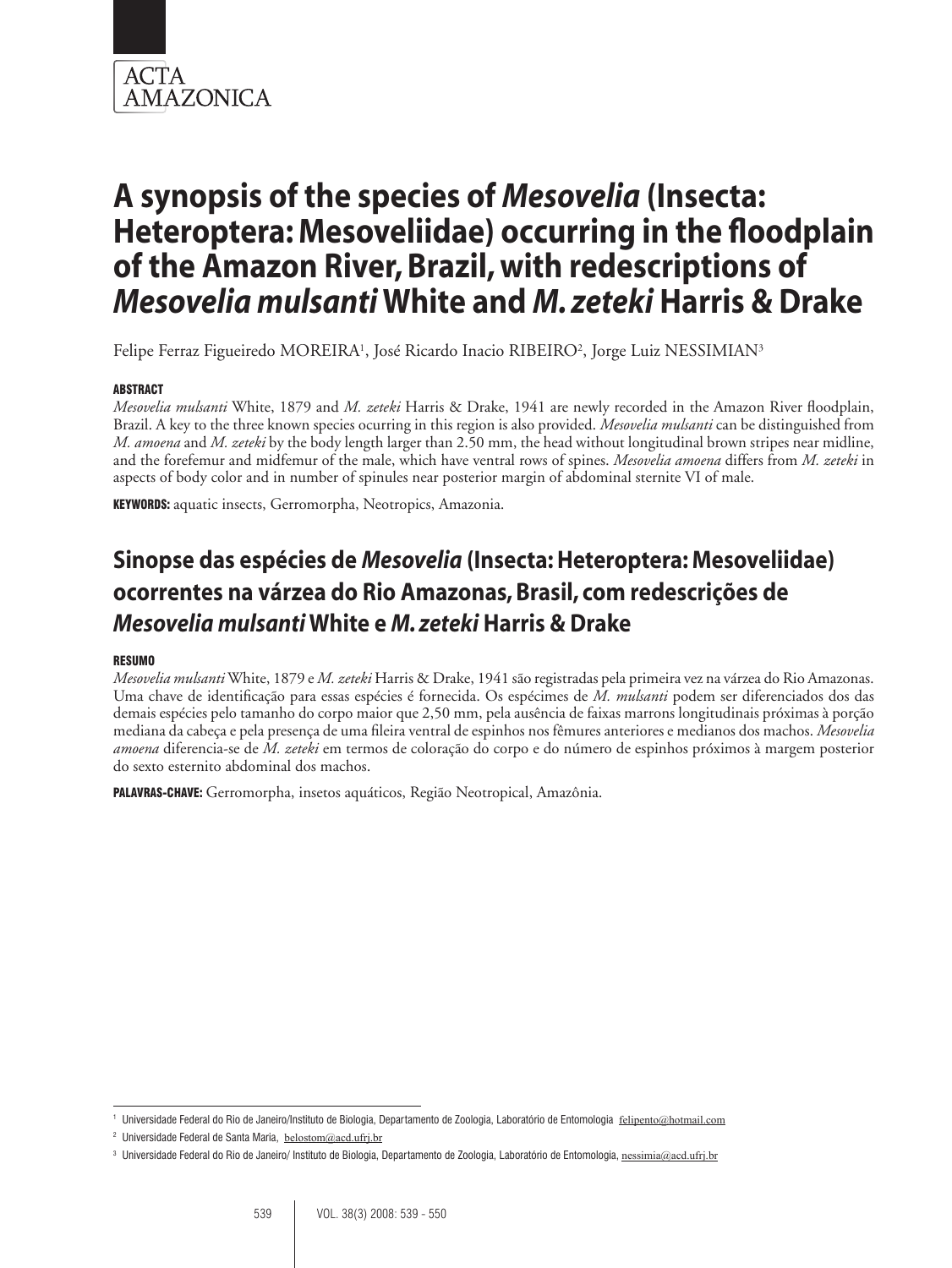

Felipe Ferraz Figueiredo MOREIRA<sup>1</sup>, José Ricardo Inacio RIBEIRO<sup>2</sup>, Jorge Luiz NESSIMIAN<sup>3</sup>

## **ABSTRACT**

*Mesovelia mulsanti* White, 1879 and *M. zeteki* Harris & Drake, 1941 are newly recorded in the Amazon River floodplain, Brazil. A key to the three known species ocurring in this region is also provided. *Mesovelia mulsanti* can be distinguished from *M. amoena* and *M. zeteki* by the body length larger than 2.50 mm, the head without longitudinal brown stripes near midline, and the forefemur and midfemur of the male, which have ventral rows of spines. *Mesovelia amoena* differs from *M. zeteki* in aspects of body color and in number of spinules near posterior margin of abdominal sternite VI of male.

KEYWORDS: aquatic insects, Gerromorpha, Neotropics, Amazonia.

## **Sinopse das espécies de** *Mesovelia* **(Insecta: Heteroptera: Mesoveliidae) ocorrentes na várzea do Rio Amazonas, Brasil, com redescrições de**  *Mesovelia mulsanti* **White e** *M. zeteki* **Harris & Drake**

#### Resumo

*Mesovelia mulsanti* White, 1879 e *M. zeteki* Harris & Drake, 1941 são registradas pela primeira vez na várzea do Rio Amazonas. Uma chave de identificação para essas espécies é fornecida. Os espécimes de *M. mulsanti* podem ser diferenciados dos das demais espécies pelo tamanho do corpo maior que 2,50 mm, pela ausência de faixas marrons longitudinais próximas à porção mediana da cabeça e pela presença de uma fileira ventral de espinhos nos fêmures anteriores e medianos dos machos. *Mesovelia amoena* diferencia-se de *M. zeteki* em termos de coloração do corpo e do número de espinhos próximos à margem posterior do sexto esternito abdominal dos machos.

Palavras-chave: Gerromorpha, insetos aquáticos, Região Neotropical, Amazônia.

<sup>&</sup>lt;sup>1</sup> Universidade Federal do Rio de Janeiro/Instituto de Biologia, Departamento de Zoologia, Laboratório de Entomologia felipento@hotmail.com

<sup>2</sup> Universidade Federal de Santa Maria, belostom@acd.ufrj.br

<sup>&</sup>lt;sup>3</sup> Universidade Federal do Rio de Janeiro/ Instituto de Biologia, Departamento de Zoologia, Laboratório de Entomologia, nessimia@acd.ufrj.br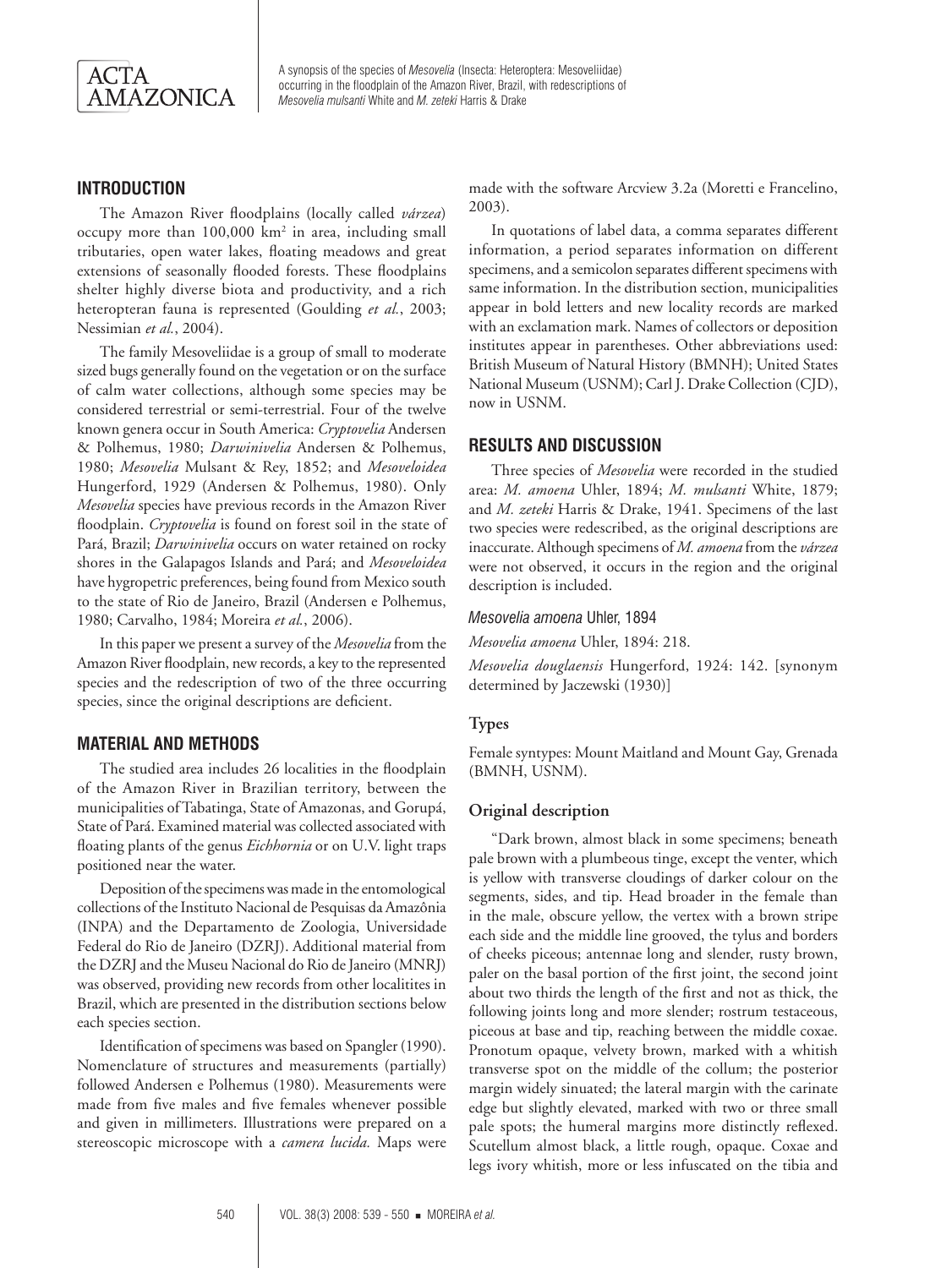

## **Introduction**

The Amazon River floodplains (locally called *várzea*) occupy more than 100,000 km<sup>2</sup> in area, including small tributaries, open water lakes, floating meadows and great extensions of seasonally flooded forests. These floodplains shelter highly diverse biota and productivity, and a rich heteropteran fauna is represented (Goulding *et al.*, 2003; Nessimian *et al.*, 2004).

The family Mesoveliidae is a group of small to moderate sized bugs generally found on the vegetation or on the surface of calm water collections, although some species may be considered terrestrial or semi-terrestrial. Four of the twelve known genera occur in South America: *Cryptovelia* Andersen & Polhemus, 1980; *Darwinivelia* Andersen & Polhemus, 1980; *Mesovelia* Mulsant & Rey, 1852; and *Mesoveloidea* Hungerford, 1929 (Andersen & Polhemus, 1980). Only *Mesovelia* species have previous records in the Amazon River floodplain. *Cryptovelia* is found on forest soil in the state of Pará, Brazil; *Darwinivelia* occurs on water retained on rocky shores in the Galapagos Islands and Pará; and *Mesoveloidea* have hygropetric preferences, being found from Mexico south to the state of Rio de Janeiro, Brazil (Andersen e Polhemus, 1980; Carvalho, 1984; Moreira *et al.*, 2006).

In this paper we present a survey of the *Mesovelia* from the Amazon River floodplain, new records, a key to the represented species and the redescription of two of the three occurring species, since the original descriptions are deficient.

## **Material and Methods**

The studied area includes 26 localities in the floodplain of the Amazon River in Brazilian territory, between the municipalities of Tabatinga, State of Amazonas, and Gorupá, State of Pará. Examined material was collected associated with floating plants of the genus *Eichhornia* or on U.V. light traps positioned near the water.

Deposition of the specimens was made in the entomological collections of the Instituto Nacional de Pesquisas da Amazônia (INPA) and the Departamento de Zoologia, Universidade Federal do Rio de Janeiro (DZRJ). Additional material from the DZRJ and the Museu Nacional do Rio de Janeiro (MNRJ) was observed, providing new records from other localitites in Brazil, which are presented in the distribution sections below each species section.

Identification of specimens was based on Spangler (1990). Nomenclature of structures and measurements (partially) followed Andersen e Polhemus (1980). Measurements were made from five males and five females whenever possible and given in millimeters. Illustrations were prepared on a stereoscopic microscope with a *camera lucida.* Maps were

made with the software Arcview 3.2a (Moretti e Francelino, 2003).

In quotations of label data, a comma separates different information, a period separates information on different specimens, and a semicolon separates different specimens with same information. In the distribution section, municipalities appear in bold letters and new locality records are marked with an exclamation mark. Names of collectors or deposition institutes appear in parentheses. Other abbreviations used: British Museum of Natural History (BMNH); United States National Museum (USNM); Carl J. Drake Collection (CJD), now in USNM.

#### **Results and discussion**

Three species of *Mesovelia* were recorded in the studied area: *M. amoena* Uhler, 1894; *M. mulsanti* White, 1879; and *M. zeteki* Harris & Drake, 1941. Specimens of the last two species were redescribed, as the original descriptions are inaccurate. Although specimens of *M. amoena* from the *várzea*  were not observed, it occurs in the region and the original description is included.

#### *Mesovelia amoena* Uhler, 1894

*Mesovelia amoena* Uhler, 1894: 218.

*Mesovelia douglaensis* Hungerford, 1924: 142. [synonym determined by Jaczewski (1930)]

#### **Types**

Female syntypes: Mount Maitland and Mount Gay, Grenada (BMNH, USNM).

#### **Original description**

"Dark brown, almost black in some specimens; beneath pale brown with a plumbeous tinge, except the venter, which is yellow with transverse cloudings of darker colour on the segments, sides, and tip. Head broader in the female than in the male, obscure yellow, the vertex with a brown stripe each side and the middle line grooved, the tylus and borders of cheeks piceous; antennae long and slender, rusty brown, paler on the basal portion of the first joint, the second joint about two thirds the length of the first and not as thick, the following joints long and more slender; rostrum testaceous, piceous at base and tip, reaching between the middle coxae. Pronotum opaque, velvety brown, marked with a whitish transverse spot on the middle of the collum; the posterior margin widely sinuated; the lateral margin with the carinate edge but slightly elevated, marked with two or three small pale spots; the humeral margins more distinctly reflexed. Scutellum almost black, a little rough, opaque. Coxae and legs ivory whitish, more or less infuscated on the tibia and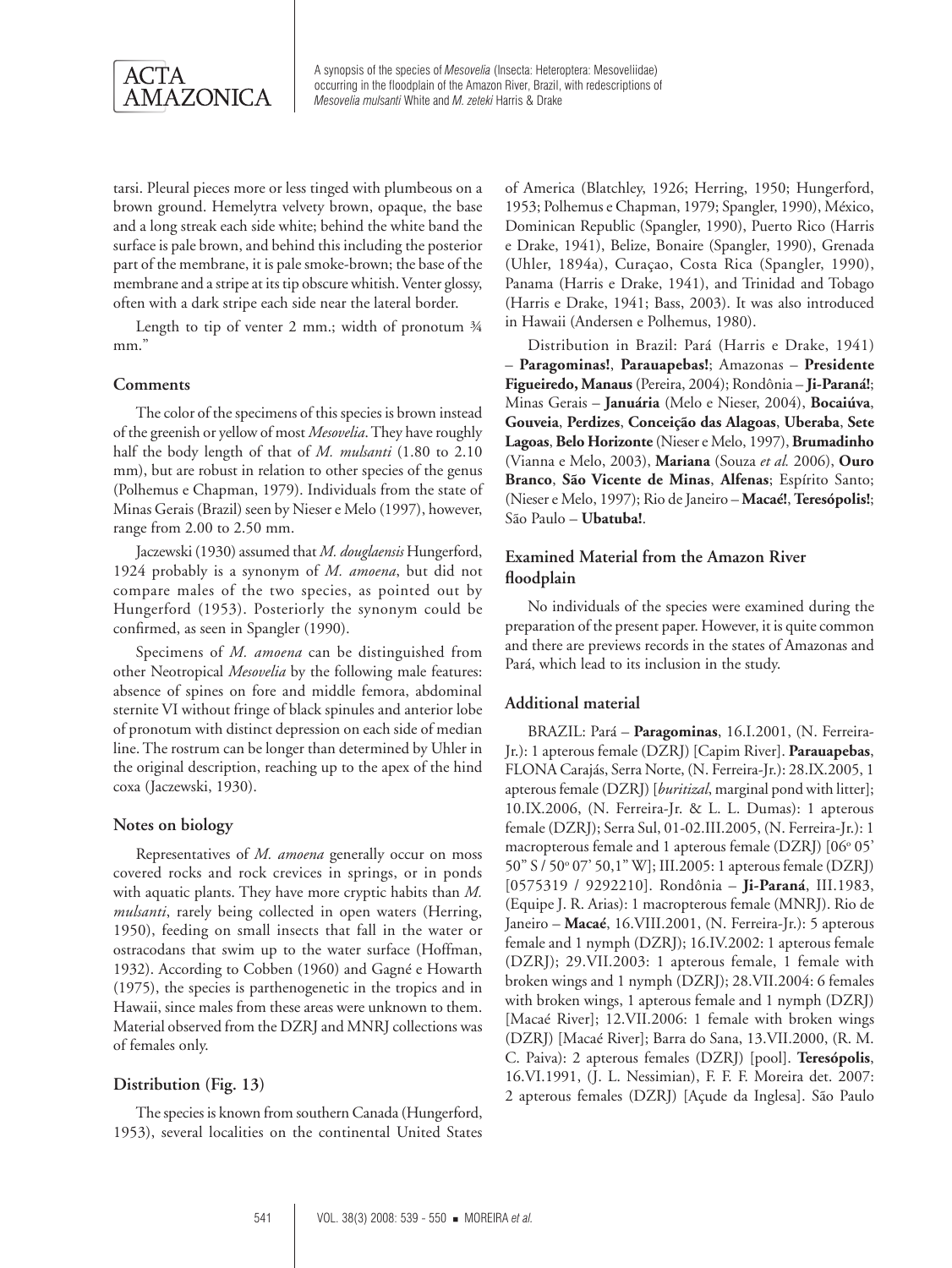

tarsi. Pleural pieces more or less tinged with plumbeous on a brown ground. Hemelytra velvety brown, opaque, the base and a long streak each side white; behind the white band the surface is pale brown, and behind this including the posterior part of the membrane, it is pale smoke-brown; the base of the membrane and a stripe at its tip obscure whitish. Venter glossy, often with a dark stripe each side near the lateral border.

Length to tip of venter 2 mm.; width of pronotum ¾ mm."

#### **Comments**

The color of the specimens of this species is brown instead of the greenish or yellow of most *Mesovelia*. They have roughly half the body length of that of *M. mulsanti* (1.80 to 2.10 mm), but are robust in relation to other species of the genus (Polhemus e Chapman, 1979). Individuals from the state of Minas Gerais (Brazil) seen by Nieser e Melo (1997), however, range from 2.00 to 2.50 mm.

Jaczewski (1930) assumed that *M. douglaensis* Hungerford, 1924 probably is a synonym of *M. amoena*, but did not compare males of the two species, as pointed out by Hungerford (1953). Posteriorly the synonym could be confirmed, as seen in Spangler (1990).

Specimens of *M. amoena* can be distinguished from other Neotropical *Mesovelia* by the following male features: absence of spines on fore and middle femora, abdominal sternite VI without fringe of black spinules and anterior lobe of pronotum with distinct depression on each side of median line. The rostrum can be longer than determined by Uhler in the original description, reaching up to the apex of the hind coxa (Jaczewski, 1930).

#### **Notes on biology**

Representatives of *M. amoena* generally occur on moss covered rocks and rock crevices in springs, or in ponds with aquatic plants. They have more cryptic habits than *M. mulsanti*, rarely being collected in open waters (Herring, 1950), feeding on small insects that fall in the water or ostracodans that swim up to the water surface (Hoffman, 1932). According to Cobben (1960) and Gagné e Howarth (1975), the species is parthenogenetic in the tropics and in Hawaii, since males from these areas were unknown to them. Material observed from the DZRJ and MNRJ collections was of females only.

#### **Distribution (Fig. 13)**

The species is known from southern Canada (Hungerford, 1953), several localities on the continental United States of America (Blatchley, 1926; Herring, 1950; Hungerford, 1953; Polhemus e Chapman, 1979; Spangler, 1990), México, Dominican Republic (Spangler, 1990), Puerto Rico (Harris e Drake, 1941), Belize, Bonaire (Spangler, 1990), Grenada (Uhler, 1894a), Curaçao, Costa Rica (Spangler, 1990), Panama (Harris e Drake, 1941), and Trinidad and Tobago (Harris e Drake, 1941; Bass, 2003). It was also introduced in Hawaii (Andersen e Polhemus, 1980).

Distribution in Brazil: Pará (Harris e Drake, 1941) – **Paragominas!**, **Parauapebas!**; Amazonas – **Presidente Figueiredo, Manaus** (Pereira, 2004); Rondônia – **Ji-Paraná!**; Minas Gerais – **Januária** (Melo e Nieser, 2004), **Bocaiúva**, **Gouveia**, **Perdizes**, **Conceição das Alagoas**, **Uberaba**, **Sete Lagoas**, **Belo Horizonte** (Nieser e Melo, 1997), **Brumadinho**  (Vianna e Melo, 2003), **Mariana** (Souza *et al.* 2006), **Ouro Branco**, **São Vicente de Minas**, **Alfenas**; Espírito Santo; (Nieser e Melo, 1997); Rio de Janeiro – **Macaé!**, **Teresópolis!**; São Paulo – **Ubatuba!**.

## **Examined Material from the Amazon River floodplain**

No individuals of the species were examined during the preparation of the present paper. However, it is quite common and there are previews records in the states of Amazonas and Pará, which lead to its inclusion in the study.

#### **Additional material**

BRAZIL: Pará – **Paragominas**, 16.I.2001, (N. Ferreira-Jr.): 1 apterous female (DZRJ) [Capim River]. **Parauapebas**, FLONA Carajás, Serra Norte, (N. Ferreira-Jr.): 28.IX.2005, 1 apterous female (DZRJ) [*buritizal*, marginal pond with litter]; 10.IX.2006, (N. Ferreira-Jr. & L. L. Dumas): 1 apterous female (DZRJ); Serra Sul, 01-02.III.2005, (N. Ferreira-Jr.): 1 macropterous female and 1 apterous female (DZRJ) [06° 05' 50" S / 50° 07' 50,1" W]; III.2005: 1 apterous female (DZRJ) [0575319 / 9292210]. Rondônia – **Ji-Paraná**, III.1983, (Equipe J. R. Arias): 1 macropterous female (MNRJ). Rio de Janeiro – **Macaé**, 16.VIII.2001, (N. Ferreira-Jr.): 5 apterous female and 1 nymph (DZRJ); 16.IV.2002: 1 apterous female (DZRJ); 29.VII.2003: 1 apterous female, 1 female with broken wings and 1 nymph (DZRJ); 28.VII.2004: 6 females with broken wings, 1 apterous female and 1 nymph (DZRJ) [Macaé River]; 12.VII.2006: 1 female with broken wings (DZRJ) [Macaé River]; Barra do Sana, 13.VII.2000, (R. M. C. Paiva): 2 apterous females (DZRJ) [pool]. **Teresópolis**, 16.VI.1991, (J. L. Nessimian), F. F. F. Moreira det. 2007: 2 apterous females (DZRJ) [Açude da Inglesa]. São Paulo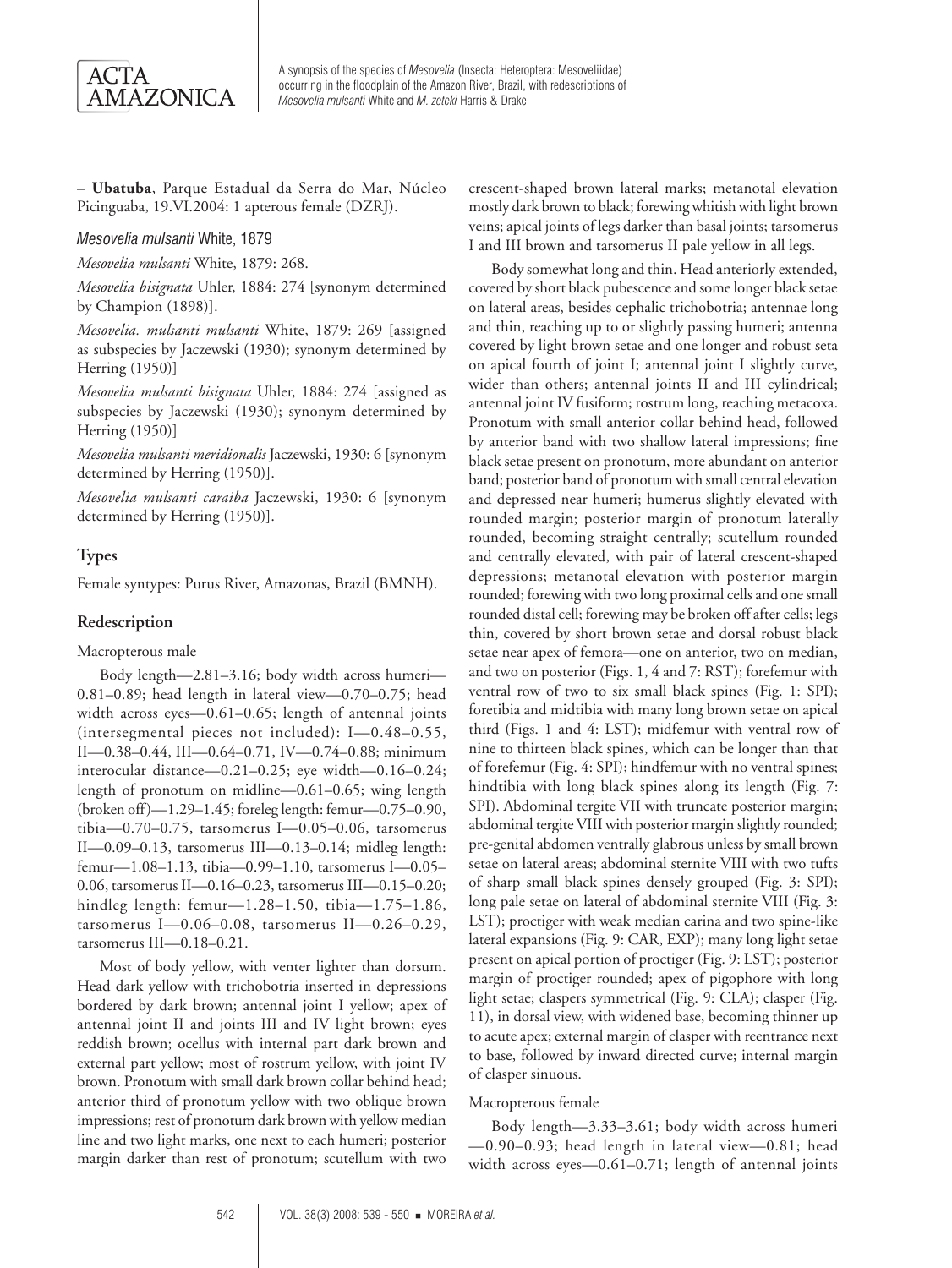

– **Ubatuba**, Parque Estadual da Serra do Mar, Núcleo Picinguaba, 19.VI.2004: 1 apterous female (DZRJ).

#### *Mesovelia mulsanti* White, 1879

*Mesovelia mulsanti* White, 1879: 268.

*Mesovelia bisignata* Uhler, 1884: 274 [synonym determined by Champion (1898)].

*Mesovelia. mulsanti mulsanti* White, 1879: 269 [assigned as subspecies by Jaczewski (1930); synonym determined by Herring (1950)]

*Mesovelia mulsanti bisignata* Uhler, 1884: 274 [assigned as subspecies by Jaczewski (1930); synonym determined by Herring (1950)]

*Mesovelia mulsanti meridionalis* Jaczewski, 1930: 6 [synonym determined by Herring (1950)].

*Mesovelia mulsanti caraiba* Jaczewski, 1930: 6 [synonym determined by Herring (1950)].

## **Types**

Female syntypes: Purus River, Amazonas, Brazil (BMNH).

#### **Redescription**

Macropterous male

Body length—2.81–3.16; body width across humeri— 0.81–0.89; head length in lateral view—0.70–0.75; head width across eyes—0.61–0.65; length of antennal joints (intersegmental pieces not included): I—0.48–0.55, II—0.38–0.44, III—0.64–0.71, IV—0.74–0.88; minimum interocular distance—0.21–0.25; eye width—0.16–0.24; length of pronotum on midline—0.61–0.65; wing length (broken off)—1.29–1.45; foreleg length: femur—0.75–0.90, tibia—0.70–0.75, tarsomerus I—0.05–0.06, tarsomerus II—0.09–0.13, tarsomerus III—0.13–0.14; midleg length: femur—1.08–1.13, tibia—0.99–1.10, tarsomerus I—0.05– 0.06, tarsomerus II—0.16–0.23, tarsomerus III—0.15–0.20; hindleg length: femur—1.28–1.50, tibia—1.75–1.86, tarsomerus I—0.06–0.08, tarsomerus II—0.26–0.29, tarsomerus III—0.18–0.21.

Most of body yellow, with venter lighter than dorsum. Head dark yellow with trichobotria inserted in depressions bordered by dark brown; antennal joint I yellow; apex of antennal joint II and joints III and IV light brown; eyes reddish brown; ocellus with internal part dark brown and external part yellow; most of rostrum yellow, with joint IV brown. Pronotum with small dark brown collar behind head; anterior third of pronotum yellow with two oblique brown impressions; rest of pronotum dark brown with yellow median line and two light marks, one next to each humeri; posterior margin darker than rest of pronotum; scutellum with two

crescent-shaped brown lateral marks; metanotal elevation mostly dark brown to black; forewing whitish with light brown veins; apical joints of legs darker than basal joints; tarsomerus I and III brown and tarsomerus II pale yellow in all legs.

Body somewhat long and thin. Head anteriorly extended, covered by short black pubescence and some longer black setae on lateral areas, besides cephalic trichobotria; antennae long and thin, reaching up to or slightly passing humeri; antenna covered by light brown setae and one longer and robust seta on apical fourth of joint I; antennal joint I slightly curve, wider than others; antennal joints II and III cylindrical; antennal joint IV fusiform; rostrum long, reaching metacoxa. Pronotum with small anterior collar behind head, followed by anterior band with two shallow lateral impressions; fine black setae present on pronotum, more abundant on anterior band; posterior band of pronotum with small central elevation and depressed near humeri; humerus slightly elevated with rounded margin; posterior margin of pronotum laterally rounded, becoming straight centrally; scutellum rounded and centrally elevated, with pair of lateral crescent-shaped depressions; metanotal elevation with posterior margin rounded; forewing with two long proximal cells and one small rounded distal cell; forewing may be broken off after cells; legs thin, covered by short brown setae and dorsal robust black setae near apex of femora—one on anterior, two on median, and two on posterior (Figs. 1, 4 and 7: RST); forefemur with ventral row of two to six small black spines (Fig. 1: SPI); foretibia and midtibia with many long brown setae on apical third (Figs. 1 and 4: LST); midfemur with ventral row of nine to thirteen black spines, which can be longer than that of forefemur (Fig. 4: SPI); hindfemur with no ventral spines; hindtibia with long black spines along its length (Fig. 7: SPI). Abdominal tergite VII with truncate posterior margin; abdominal tergite VIII with posterior margin slightly rounded; pre-genital abdomen ventrally glabrous unless by small brown setae on lateral areas; abdominal sternite VIII with two tufts of sharp small black spines densely grouped (Fig. 3: SPI); long pale setae on lateral of abdominal sternite VIII (Fig. 3: LST); proctiger with weak median carina and two spine-like lateral expansions (Fig. 9: CAR, EXP); many long light setae present on apical portion of proctiger (Fig. 9: LST); posterior margin of proctiger rounded; apex of pigophore with long light setae; claspers symmetrical (Fig. 9: CLA); clasper (Fig. 11), in dorsal view, with widened base, becoming thinner up to acute apex; external margin of clasper with reentrance next to base, followed by inward directed curve; internal margin of clasper sinuous.

#### Macropterous female

Body length—3.33–3.61; body width across humeri —0.90–0.93; head length in lateral view—0.81; head width across eyes—0.61–0.71; length of antennal joints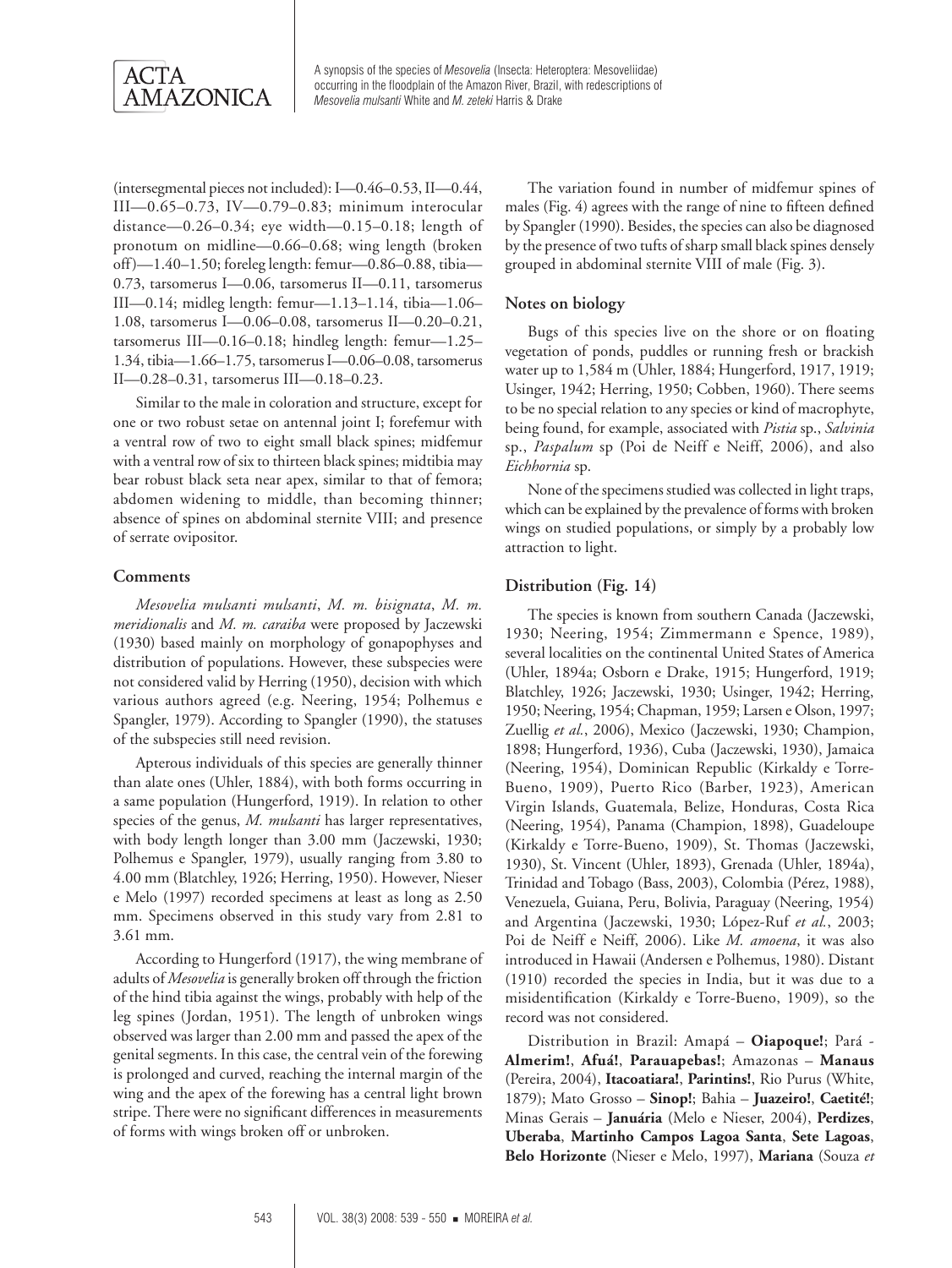

(intersegmental pieces not included): I—0.46–0.53, II—0.44, III—0.65–0.73, IV—0.79–0.83; minimum interocular distance—0.26–0.34; eye width—0.15–0.18; length of pronotum on midline—0.66–0.68; wing length (broken off)—1.40–1.50; foreleg length: femur—0.86–0.88, tibia— 0.73, tarsomerus I—0.06, tarsomerus II—0.11, tarsomerus III—0.14; midleg length: femur—1.13–1.14, tibia—1.06– 1.08, tarsomerus I—0.06–0.08, tarsomerus II—0.20–0.21, tarsomerus III—0.16–0.18; hindleg length: femur—1.25– 1.34, tibia—1.66–1.75, tarsomerus I—0.06–0.08, tarsomerus II—0.28–0.31, tarsomerus III—0.18–0.23.

Similar to the male in coloration and structure, except for one or two robust setae on antennal joint I; forefemur with a ventral row of two to eight small black spines; midfemur with a ventral row of six to thirteen black spines; midtibia may bear robust black seta near apex, similar to that of femora; abdomen widening to middle, than becoming thinner; absence of spines on abdominal sternite VIII; and presence of serrate ovipositor.

#### **Comments**

*Mesovelia mulsanti mulsanti*, *M. m. bisignata*, *M. m. meridionalis* and *M. m. caraiba* were proposed by Jaczewski (1930) based mainly on morphology of gonapophyses and distribution of populations. However, these subspecies were not considered valid by Herring (1950), decision with which various authors agreed (e.g. Neering, 1954; Polhemus e Spangler, 1979). According to Spangler (1990), the statuses of the subspecies still need revision.

Apterous individuals of this species are generally thinner than alate ones (Uhler, 1884), with both forms occurring in a same population (Hungerford, 1919). In relation to other species of the genus, *M. mulsanti* has larger representatives, with body length longer than 3.00 mm (Jaczewski, 1930; Polhemus e Spangler, 1979), usually ranging from 3.80 to 4.00 mm (Blatchley, 1926; Herring, 1950). However, Nieser e Melo (1997) recorded specimens at least as long as 2.50 mm. Specimens observed in this study vary from 2.81 to 3.61 mm.

According to Hungerford (1917), the wing membrane of adults of *Mesovelia* is generally broken off through the friction of the hind tibia against the wings, probably with help of the leg spines (Jordan, 1951). The length of unbroken wings observed was larger than 2.00 mm and passed the apex of the genital segments. In this case, the central vein of the forewing is prolonged and curved, reaching the internal margin of the wing and the apex of the forewing has a central light brown stripe. There were no significant differences in measurements of forms with wings broken off or unbroken.

The variation found in number of midfemur spines of males (Fig. 4) agrees with the range of nine to fifteen defined by Spangler (1990). Besides, the species can also be diagnosed by the presence of two tufts of sharp small black spines densely grouped in abdominal sternite VIII of male (Fig. 3).

#### **Notes on biology**

Bugs of this species live on the shore or on floating vegetation of ponds, puddles or running fresh or brackish water up to 1,584 m (Uhler, 1884; Hungerford, 1917, 1919; Usinger, 1942; Herring, 1950; Cobben, 1960). There seems to be no special relation to any species or kind of macrophyte, being found, for example, associated with *Pistia* sp., *Salvinia*  sp., *Paspalum* sp (Poi de Neiff e Neiff, 2006), and also *Eichhornia* sp.

None of the specimens studied was collected in light traps, which can be explained by the prevalence of forms with broken wings on studied populations, or simply by a probably low attraction to light.

#### **Distribution (Fig. 14)**

The species is known from southern Canada (Jaczewski, 1930; Neering, 1954; Zimmermann e Spence, 1989), several localities on the continental United States of America (Uhler, 1894a; Osborn e Drake, 1915; Hungerford, 1919; Blatchley, 1926; Jaczewski, 1930; Usinger, 1942; Herring, 1950; Neering, 1954; Chapman, 1959; Larsen e Olson, 1997; Zuellig *et al.*, 2006), Mexico (Jaczewski, 1930; Champion, 1898; Hungerford, 1936), Cuba (Jaczewski, 1930), Jamaica (Neering, 1954), Dominican Republic (Kirkaldy e Torre-Bueno, 1909), Puerto Rico (Barber, 1923), American Virgin Islands, Guatemala, Belize, Honduras, Costa Rica (Neering, 1954), Panama (Champion, 1898), Guadeloupe (Kirkaldy e Torre-Bueno, 1909), St. Thomas (Jaczewski, 1930), St. Vincent (Uhler, 1893), Grenada (Uhler, 1894a), Trinidad and Tobago (Bass, 2003), Colombia (Pérez, 1988), Venezuela, Guiana, Peru, Bolivia, Paraguay (Neering, 1954) and Argentina (Jaczewski, 1930; López-Ruf *et al.*, 2003; Poi de Neiff e Neiff, 2006). Like *M. amoena*, it was also introduced in Hawaii (Andersen e Polhemus, 1980). Distant (1910) recorded the species in India, but it was due to a misidentification (Kirkaldy e Torre-Bueno, 1909), so the record was not considered.

Distribution in Brazil: Amapá – **Oiapoque!**; Pará - **Almerim!**, **Afuá!**, **Parauapebas!**; Amazonas – **Manaus** (Pereira, 2004), **Itacoatiara!**, **Parintins!**, Rio Purus (White, 1879); Mato Grosso – **Sinop!**; Bahia – **Juazeiro!**, **Caetité!**; Minas Gerais – **Januária** (Melo e Nieser, 2004), **Perdizes**, **Uberaba**, **Martinho Campos Lagoa Santa**, **Sete Lagoas**, **Belo Horizonte** (Nieser e Melo, 1997), **Mariana** (Souza *et*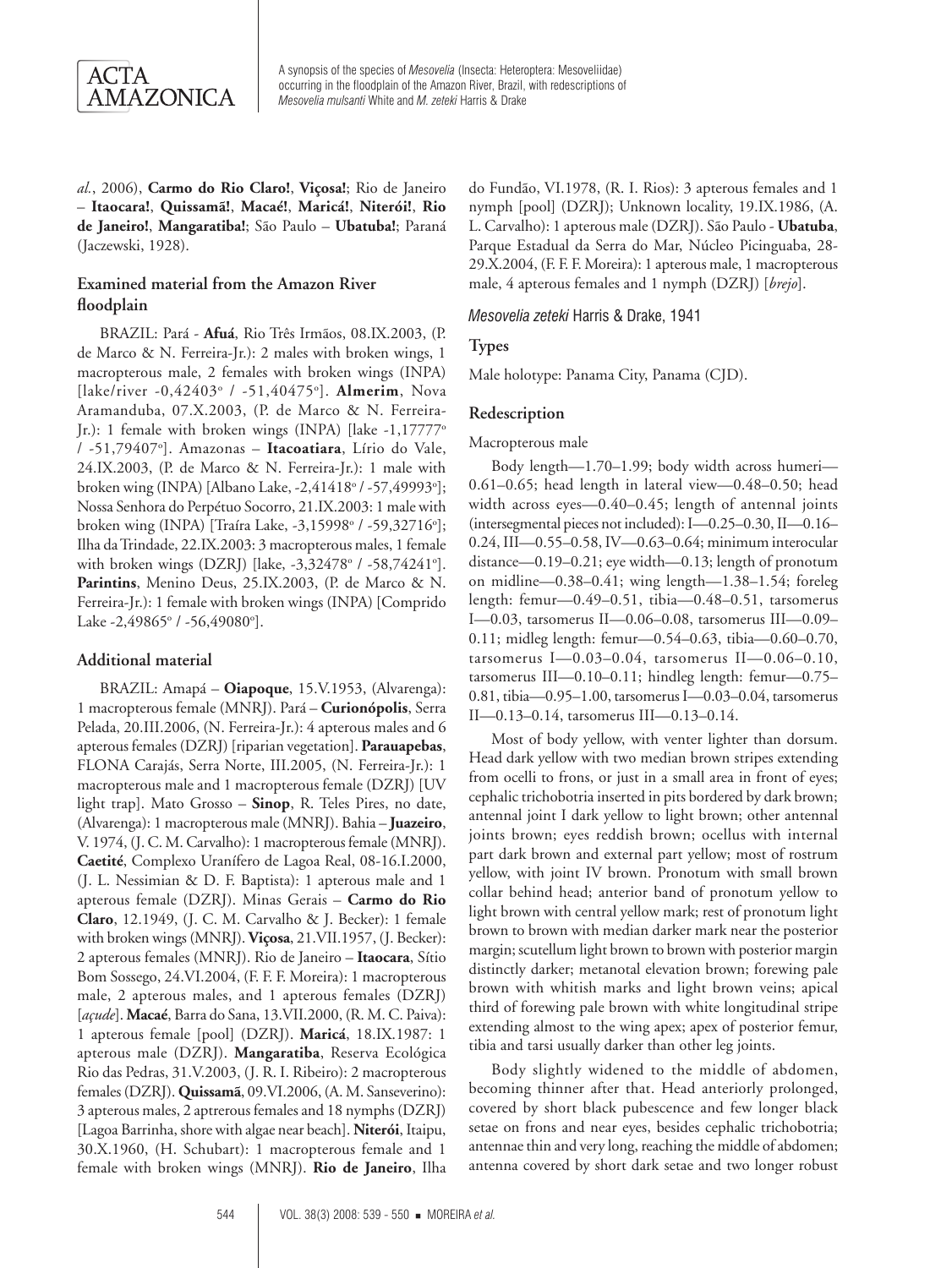

*al.*, 2006), **Carmo do Rio Claro!**, **Viçosa!**; Rio de Janeiro – **Itaocara!**, **Quissamã!**, **Macaé!**, **Maricá!**, **Niterói!**, **Rio de Janeiro!**, **Mangaratiba!**; São Paulo – **Ubatuba!**; Paraná (Jaczewski, 1928).

## **Examined material from the Amazon River floodplain**

BRAZIL: Pará - **Afuá**, Rio Três Irmãos, 08.IX.2003, (P. de Marco & N. Ferreira-Jr.): 2 males with broken wings, 1 macropterous male, 2 females with broken wings (INPA) [lake/river -0,42403° / -51,40475°]. **Almerim**, Nova Aramanduba, 07.X.2003, (P. de Marco & N. Ferreira-Jr.): 1 female with broken wings (INPA) [lake -1,17777o / -51,79407o ]. Amazonas – **Itacoatiara**, Lírio do Vale, 24.IX.2003, (P. de Marco & N. Ferreira-Jr.): 1 male with broken wing (INPA) [Albano Lake, -2,41418° / -57,49993°]; Nossa Senhora do Perpétuo Socorro, 21.IX.2003: 1 male with broken wing (INPA) [Traíra Lake, -3,15998° / -59,32716°]; Ilha da Trindade, 22.IX.2003: 3 macropterous males, 1 female with broken wings (DZRJ) [lake, -3,32478° / -58,74241°]. Parintins, Menino Deus, 25.IX.2003, (P. de Marco & N. Ferreira-Jr.): 1 female with broken wings (INPA) [Comprido Lake -2,49865° / -56,49080°].

#### **Additional material**

BRAZIL: Amapá – **Oiapoque**, 15.V.1953, (Alvarenga): 1 macropterous female (MNRJ). Pará – **Curionópolis**, Serra Pelada, 20.III.2006, (N. Ferreira-Jr.): 4 apterous males and 6 apterous females (DZRJ) [riparian vegetation]. **Parauapebas**, FLONA Carajás, Serra Norte, III.2005, (N. Ferreira-Jr.): 1 macropterous male and 1 macropterous female (DZRJ) [UV light trap]. Mato Grosso – **Sinop**, R. Teles Pires, no date, (Alvarenga): 1 macropterous male (MNRJ). Bahia – **Juazeiro**, V. 1974, (J. C. M. Carvalho): 1 macropterous female (MNRJ). **Caetité**, Complexo Uranífero de Lagoa Real, 08-16.I.2000, (J. L. Nessimian & D. F. Baptista): 1 apterous male and 1 apterous female (DZRJ). Minas Gerais – **Carmo do Rio Claro**, 12.1949, (J. C. M. Carvalho & J. Becker): 1 female with broken wings (MNRJ). **Viçosa**, 21.VII.1957, (J. Becker): 2 apterous females (MNRJ). Rio de Janeiro – **Itaocara**, Sítio Bom Sossego, 24.VI.2004, (F. F. F. Moreira): 1 macropterous male, 2 apterous males, and 1 apterous females (DZRJ) [*açude*]. **Macaé**, Barra do Sana, 13.VII.2000, (R. M. C. Paiva): 1 apterous female [pool] (DZRJ). **Maricá**, 18.IX.1987: 1 apterous male (DZRJ). **Mangaratiba**, Reserva Ecológica Rio das Pedras, 31.V.2003, (J. R. I. Ribeiro): 2 macropterous females (DZRJ). **Quissamã**, 09.VI.2006, (A. M. Sanseverino): 3 apterous males, 2 aptrerous females and 18 nymphs (DZRJ) [Lagoa Barrinha, shore with algae near beach]. **Niterói**, Itaipu, 30.X.1960, (H. Schubart): 1 macropterous female and 1 female with broken wings (MNRJ). **Rio de Janeiro**, Ilha

do Fundão, VI.1978, (R. I. Rios): 3 apterous females and 1 nymph [pool] (DZRJ); Unknown locality, 19.IX.1986, (A. L. Carvalho): 1 apterous male (DZRJ). São Paulo - **Ubatuba**, Parque Estadual da Serra do Mar, Núcleo Picinguaba, 28- 29.X.2004, (F. F. F. Moreira): 1 apterous male, 1 macropterous male, 4 apterous females and 1 nymph (DZRJ) [*brejo*].

*Mesovelia zeteki* Harris & Drake, 1941

## **Types**

Male holotype: Panama City, Panama (CJD).

## **Redescription**

Macropterous male

Body length—1.70–1.99; body width across humeri— 0.61–0.65; head length in lateral view—0.48–0.50; head width across eyes—0.40–0.45; length of antennal joints (intersegmental pieces not included): I—0.25–0.30, II—0.16– 0.24, III—0.55–0.58, IV—0.63–0.64; minimum interocular distance—0.19–0.21; eye width—0.13; length of pronotum on midline—0.38–0.41; wing length—1.38–1.54; foreleg length: femur—0.49–0.51, tibia—0.48–0.51, tarsomerus I—0.03, tarsomerus II—0.06–0.08, tarsomerus III—0.09– 0.11; midleg length: femur—0.54–0.63, tibia—0.60–0.70, tarsomerus I— $0.03-0.04$ , tarsomerus II— $0.06-0.10$ , tarsomerus III—0.10–0.11; hindleg length: femur—0.75– 0.81, tibia—0.95–1.00, tarsomerus I—0.03–0.04, tarsomerus II—0.13–0.14, tarsomerus III—0.13–0.14.

Most of body yellow, with venter lighter than dorsum. Head dark yellow with two median brown stripes extending from ocelli to frons, or just in a small area in front of eyes; cephalic trichobotria inserted in pits bordered by dark brown; antennal joint I dark yellow to light brown; other antennal joints brown; eyes reddish brown; ocellus with internal part dark brown and external part yellow; most of rostrum yellow, with joint IV brown. Pronotum with small brown collar behind head; anterior band of pronotum yellow to light brown with central yellow mark; rest of pronotum light brown to brown with median darker mark near the posterior margin; scutellum light brown to brown with posterior margin distinctly darker; metanotal elevation brown; forewing pale brown with whitish marks and light brown veins; apical third of forewing pale brown with white longitudinal stripe extending almost to the wing apex; apex of posterior femur, tibia and tarsi usually darker than other leg joints.

Body slightly widened to the middle of abdomen, becoming thinner after that. Head anteriorly prolonged, covered by short black pubescence and few longer black setae on frons and near eyes, besides cephalic trichobotria; antennae thin and very long, reaching the middle of abdomen; antenna covered by short dark setae and two longer robust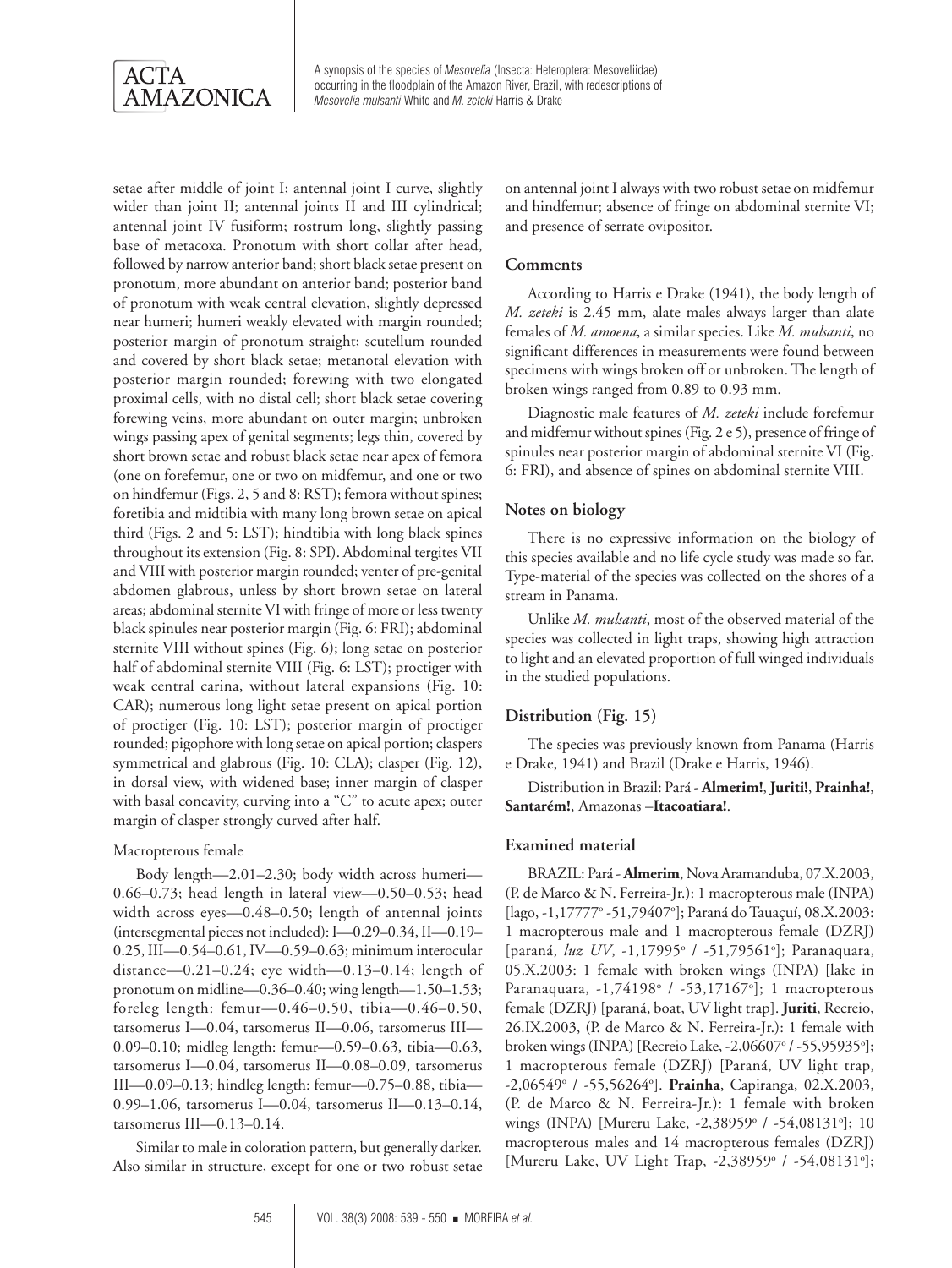

setae after middle of joint I; antennal joint I curve, slightly wider than joint II; antennal joints II and III cylindrical; antennal joint IV fusiform; rostrum long, slightly passing base of metacoxa. Pronotum with short collar after head, followed by narrow anterior band; short black setae present on pronotum, more abundant on anterior band; posterior band of pronotum with weak central elevation, slightly depressed near humeri; humeri weakly elevated with margin rounded; posterior margin of pronotum straight; scutellum rounded and covered by short black setae; metanotal elevation with posterior margin rounded; forewing with two elongated proximal cells, with no distal cell; short black setae covering forewing veins, more abundant on outer margin; unbroken wings passing apex of genital segments; legs thin, covered by short brown setae and robust black setae near apex of femora (one on forefemur, one or two on midfemur, and one or two on hindfemur (Figs. 2, 5 and 8: RST); femora without spines; foretibia and midtibia with many long brown setae on apical third (Figs. 2 and 5: LST); hindtibia with long black spines throughout its extension (Fig. 8: SPI). Abdominal tergites VII and VIII with posterior margin rounded; venter of pre-genital abdomen glabrous, unless by short brown setae on lateral areas; abdominal sternite VI with fringe of more or less twenty black spinules near posterior margin (Fig. 6: FRI); abdominal sternite VIII without spines (Fig. 6); long setae on posterior half of abdominal sternite VIII (Fig. 6: LST); proctiger with weak central carina, without lateral expansions (Fig. 10: CAR); numerous long light setae present on apical portion of proctiger (Fig. 10: LST); posterior margin of proctiger rounded; pigophore with long setae on apical portion; claspers symmetrical and glabrous (Fig. 10: CLA); clasper (Fig. 12), in dorsal view, with widened base; inner margin of clasper with basal concavity, curving into a "C" to acute apex; outer margin of clasper strongly curved after half.

#### Macropterous female

Body length—2.01–2.30; body width across humeri— 0.66–0.73; head length in lateral view—0.50–0.53; head width across eyes—0.48–0.50; length of antennal joints (intersegmental pieces not included): I—0.29–0.34, II—0.19– 0.25, III—0.54–0.61, IV—0.59–0.63; minimum interocular distance—0.21–0.24; eye width—0.13–0.14; length of pronotum on midline—0.36–0.40; wing length—1.50–1.53; foreleg length: femur—0.46–0.50, tibia—0.46–0.50, tarsomerus I—0.04, tarsomerus II—0.06, tarsomerus III— 0.09–0.10; midleg length: femur—0.59–0.63, tibia—0.63, tarsomerus I—0.04, tarsomerus II—0.08–0.09, tarsomerus III—0.09–0.13; hindleg length: femur—0.75–0.88, tibia— 0.99–1.06, tarsomerus I—0.04, tarsomerus II—0.13–0.14, tarsomerus III—0.13–0.14.

Similar to male in coloration pattern, but generally darker. Also similar in structure, except for one or two robust setae on antennal joint I always with two robust setae on midfemur and hindfemur; absence of fringe on abdominal sternite VI; and presence of serrate ovipositor.

#### **Comments**

According to Harris e Drake (1941), the body length of *M. zeteki* is 2.45 mm, alate males always larger than alate females of *M. amoena*, a similar species. Like *M. mulsanti*, no significant differences in measurements were found between specimens with wings broken off or unbroken. The length of broken wings ranged from 0.89 to 0.93 mm.

Diagnostic male features of *M. zeteki* include forefemur and midfemur without spines (Fig. 2 e 5), presence of fringe of spinules near posterior margin of abdominal sternite VI (Fig. 6: FRI), and absence of spines on abdominal sternite VIII.

## **Notes on biology**

There is no expressive information on the biology of this species available and no life cycle study was made so far. Type-material of the species was collected on the shores of a stream in Panama.

Unlike *M. mulsanti*, most of the observed material of the species was collected in light traps, showing high attraction to light and an elevated proportion of full winged individuals in the studied populations.

## **Distribution (Fig. 15)**

The species was previously known from Panama (Harris e Drake, 1941) and Brazil (Drake e Harris, 1946).

Distribution in Brazil: Pará - **Almerim!**, **Juriti!**, **Prainha!**, **Santarém!**, Amazonas –**Itacoatiara!**.

#### **Examined material**

BRAZIL: Pará - **Almerim**, Nova Aramanduba, 07.X.2003, (P. de Marco & N. Ferreira-Jr.): 1 macropterous male (INPA) [lago, -1,17777° -51,79407°]; Paraná do Tauaçuí, 08.X.2003: 1 macropterous male and 1 macropterous female (DZRJ) [paraná, luz UV, -1,17995<sup>°</sup> / -51,79561<sup>°</sup>]; Paranaquara, 05.X.2003: 1 female with broken wings (INPA) [lake in Paranaquara, -1,74198<sup>°</sup> / -53,17167<sup>°</sup>]; 1 macropterous female (DZRJ) [paraná, boat, UV light trap]. **Juriti**, Recreio, 26.IX.2003, (P. de Marco & N. Ferreira-Jr.): 1 female with broken wings (INPA) [Recreio Lake, -2,06607° / -55,95935°]; 1 macropterous female (DZRJ) [Paraná, UV light trap, -2,06549o / -55,56264o ]. **Prainha**, Capiranga, 02.X.2003, (P. de Marco & N. Ferreira-Jr.): 1 female with broken wings (INPA) [Mureru Lake, -2,38959° / -54,08131°]; 10 macropterous males and 14 macropterous females (DZRJ) [Mureru Lake, UV Light Trap, -2,38959° / -54,08131°];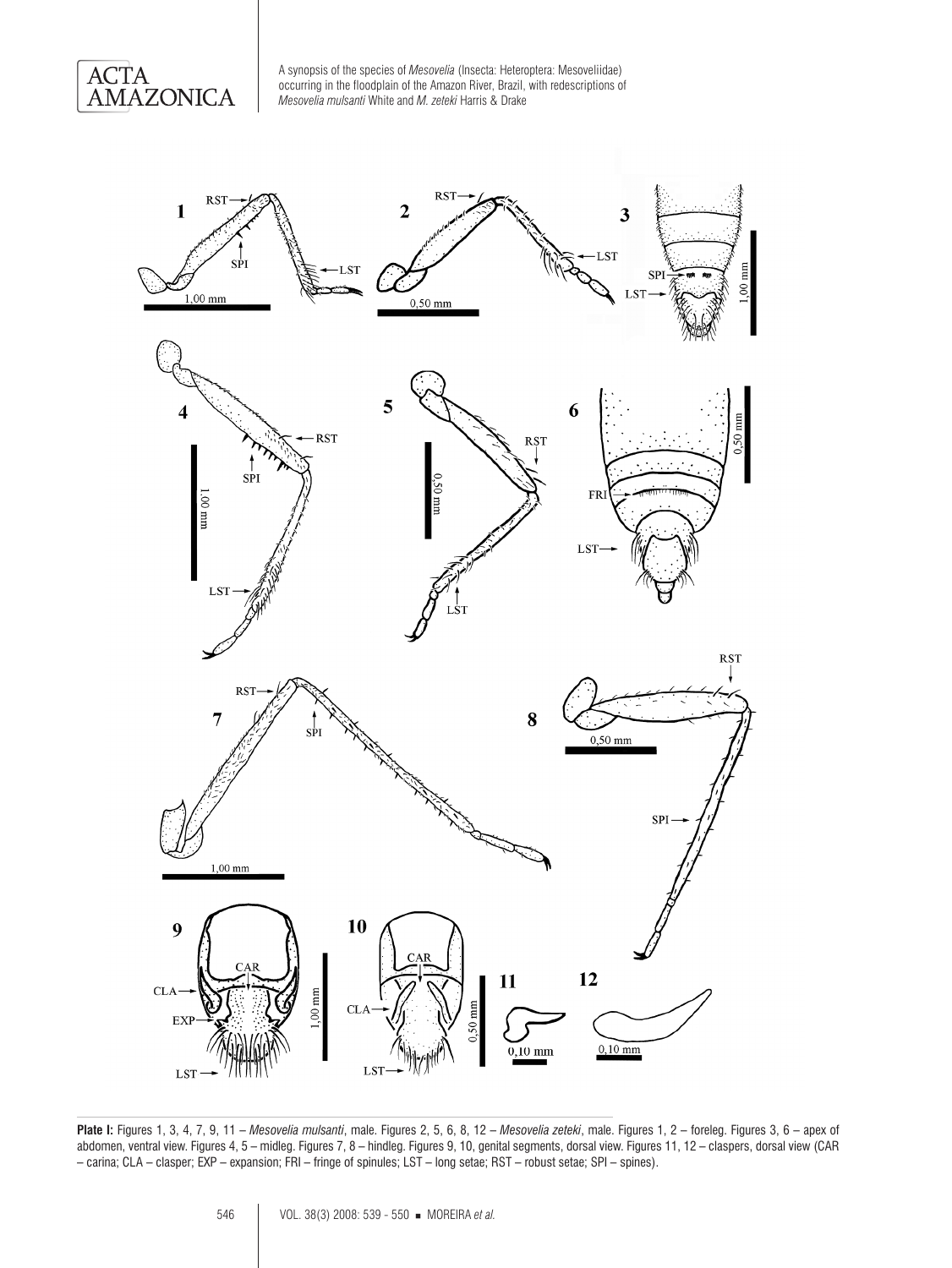



**Plate I:** Figures 1, 3, 4, 7, 9, 11 – *Mesovelia mulsanti*, male. Figures 2, 5, 6, 8, 12 – *Mesovelia zeteki*, male. Figures 1, 2 – foreleg. Figures 3, 6 – apex of abdomen, ventral view. Figures 4, 5 – midleg. Figures 7, 8 – hindleg. Figures 9, 10, genital segments, dorsal view. Figures 11, 12 – claspers, dorsal view (CAR – carina; CLA – clasper; EXP – expansion; FRI – fringe of spinules; LST – long setae; RST – robust setae; SPI – spines).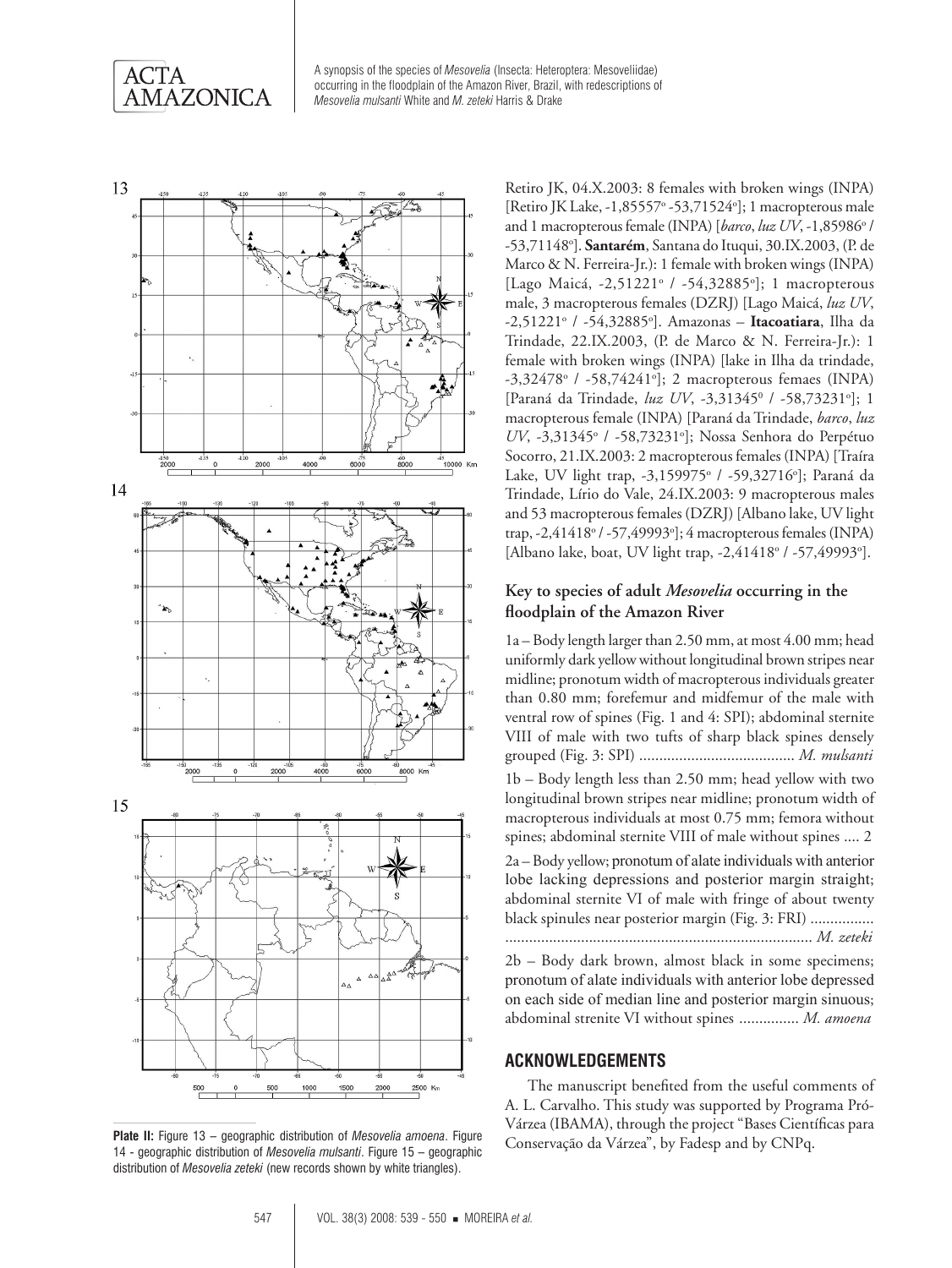



Plate II: Figure 13 – geographic distribution of *Mesovelia amoena*. Figure Conservação da Várzea", by Fadesp and by CNPq. 14 - geographic distribution of *Mesovelia mulsanti*. Figure 15 – geographic distribution of *Mesovelia zeteki* (new records shown by white triangles).

Retiro JK, 04.X.2003: 8 females with broken wings (INPA) [Retiro JK Lake, -1,85557° -53,71524°]; 1 macropterous male and 1 macropterous female (INPA) [barco, luz UV, -1,85986° / -53,71148°]. **Santarém**, Santana do Ituqui, 30.IX.2003, (P. de Marco & N. Ferreira-Jr.): 1 female with broken wings (INPA) [Lago Maicá, -2,51221° / -54,32885°]; 1 macropterous male, 3 macropterous females (DZRJ) [Lago Maicá, *luz UV*, -2,51221° / -54,32885°]. Amazonas – Itacoatiara, Ilha da Trindade, 22.IX.2003, (P. de Marco & N. Ferreira-Jr.): 1 female with broken wings (INPA) [lake in Ilha da trindade, -3,32478° / -58,74241°]; 2 macropterous femaes (INPA) [Paraná da Trindade, luz UV, -3,31345<sup>0</sup> / -58,73231°]; 1 macropterous female (INPA) [Paraná da Trindade, *barco*, *luz*  UV, -3,31345<sup>°</sup> / -58,73231<sup>°</sup>]; Nossa Senhora do Perpétuo Socorro, 21.IX.2003: 2 macropterous females (INPA) [Traíra Lake, UV light trap, -3,159975° / -59,32716°]; Paraná da Trindade, Lírio do Vale, 24.IX.2003: 9 macropterous males and 53 macropterous females (DZRJ) [Albano lake, UV light trap, -2,41418° / -57,49993°]; 4 macropterous females (INPA) [Albano lake, boat, UV light trap, -2,41418° / -57,49993°].

## **Key to species of adult** *Mesovelia* **occurring in the floodplain of the Amazon River**

1a – Body length larger than 2.50 mm, at most 4.00 mm; head uniformly dark yellow without longitudinal brown stripes near midline; pronotum width of macropterous individuals greater than 0.80 mm; forefemur and midfemur of the male with ventral row of spines (Fig. 1 and 4: SPI); abdominal sternite VIII of male with two tufts of sharp black spines densely grouped (Fig. 3: SPI) ....................................... *M. mulsanti* 1b – Body length less than 2.50 mm; head yellow with two longitudinal brown stripes near midline; pronotum width of macropterous individuals at most 0.75 mm; femora without spines; abdominal sternite VIII of male without spines .... 2 2a – Body yellow; pronotum of alate individuals with anterior lobe lacking depressions and posterior margin straight; abdominal sternite VI of male with fringe of about twenty black spinules near posterior margin (Fig. 3: FRI) ................ ............................................................................. *M. zeteki*

2b – Body dark brown, almost black in some specimens; pronotum of alate individuals with anterior lobe depressed on each side of median line and posterior margin sinuous; abdominal strenite VI without spines ............... *M. amoena*

## **Acknowledgements**

The manuscript benefited from the useful comments of A. L. Carvalho. This study was supported by Programa Pró-Várzea (IBAMA), through the project "Bases Científicas para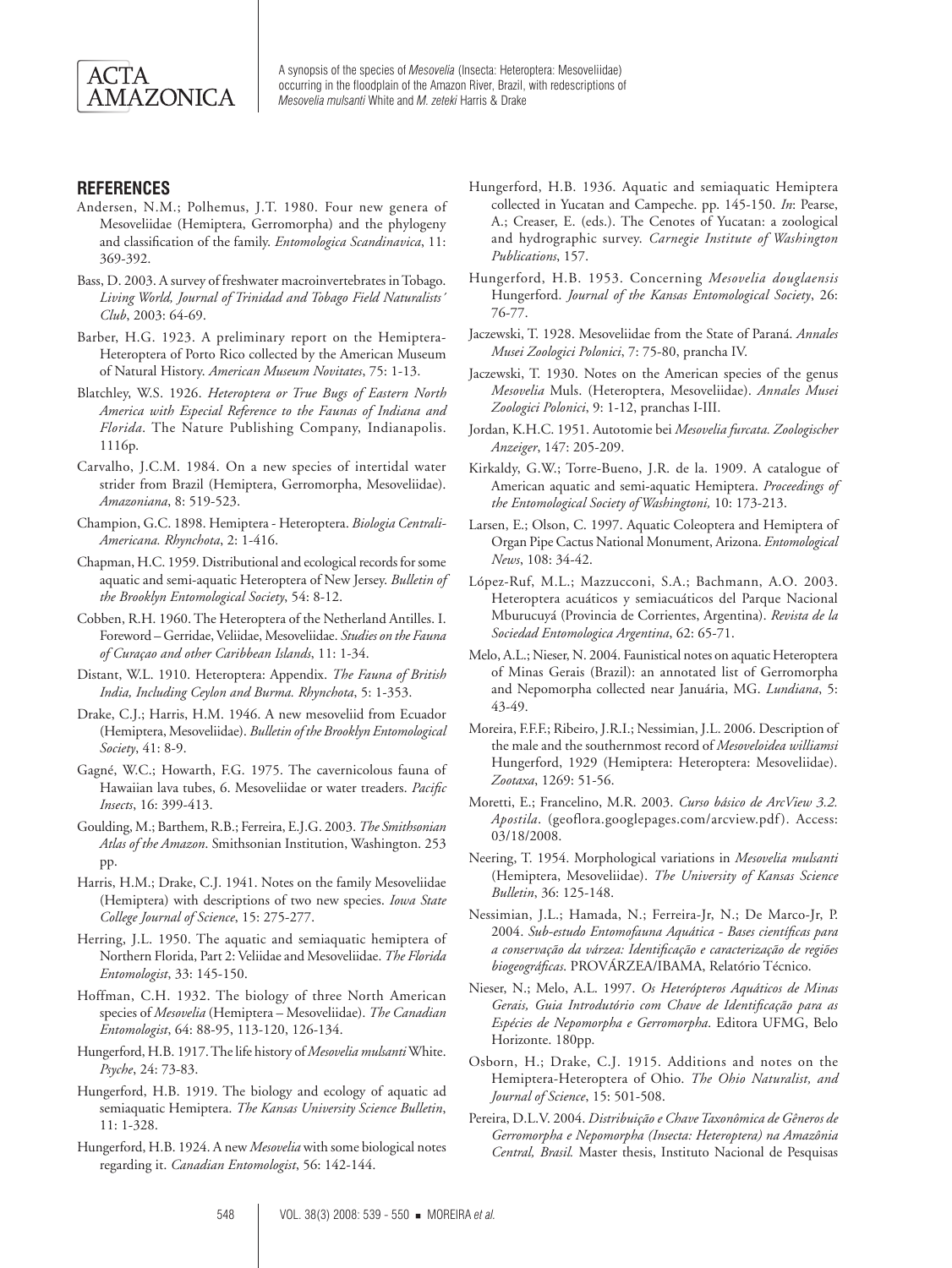

## **References**

- Andersen, N.M.; Polhemus, J.T. 1980. Four new genera of Mesoveliidae (Hemiptera, Gerromorpha) and the phylogeny and classification of the family. *Entomologica Scandinavica*, 11: 369-392.
- Bass, D. 2003. A survey of freshwater macroinvertebrates in Tobago. *Living World, Journal of Trinidad and Tobago Field Naturalists´ Club*, 2003: 64-69.
- Barber, H.G. 1923. A preliminary report on the Hemiptera-Heteroptera of Porto Rico collected by the American Museum of Natural History. *American Museum Novitates*, 75: 1-13.
- Blatchley, W.S. 1926. *Heteroptera or True Bugs of Eastern North America with Especial Reference to the Faunas of Indiana and Florida*. The Nature Publishing Company, Indianapolis. 1116p.
- Carvalho, J.C.M. 1984. On a new species of intertidal water strider from Brazil (Hemiptera, Gerromorpha, Mesoveliidae). *Amazoniana*, 8: 519-523.
- Champion, G.C. 1898. Hemiptera Heteroptera. *Biologia Centrali-Americana. Rhynchota*, 2: 1-416.
- Chapman, H.C. 1959. Distributional and ecological records for some aquatic and semi-aquatic Heteroptera of New Jersey. *Bulletin of the Brooklyn Entomological Society*, 54: 8-12.
- Cobben, R.H. 1960. The Heteroptera of the Netherland Antilles. I. Foreword – Gerridae, Veliidae, Mesoveliidae. *Studies on the Fauna of Curaçao and other Caribbean Islands*, 11: 1-34.
- Distant, W.L. 1910. Heteroptera: Appendix. *The Fauna of British India, Including Ceylon and Burma. Rhynchota*, 5: 1-353.
- Drake, C.J.; Harris, H.M. 1946. A new mesoveliid from Ecuador (Hemiptera, Mesoveliidae). *Bulletin of the Brooklyn Entomological Society*, 41: 8-9.
- Gagné, W.C.; Howarth, F.G. 1975. The cavernicolous fauna of Hawaiian lava tubes, 6. Mesoveliidae or water treaders. *Pacific Insects*, 16: 399-413.
- Goulding, M.; Barthem, R.B.; Ferreira, E.J.G. 2003. *The Smithsonian Atlas of the Amazon*. Smithsonian Institution, Washington. 253 pp.
- Harris, H.M.; Drake, C.J. 1941. Notes on the family Mesoveliidae (Hemiptera) with descriptions of two new species. *Iowa State College Journal of Science*, 15: 275-277.
- Herring, J.L. 1950. The aquatic and semiaquatic hemiptera of Northern Florida, Part 2: Veliidae and Mesoveliidae. *The Florida Entomologist*, 33: 145-150.
- Hoffman, C.H. 1932. The biology of three North American species of *Mesovelia* (Hemiptera – Mesoveliidae). *The Canadian Entomologist*, 64: 88-95, 113-120, 126-134.
- Hungerford, H.B. 1917. The life history of *Mesovelia mulsanti* White. *Psyche*, 24: 73-83.
- Hungerford, H.B. 1919. The biology and ecology of aquatic ad semiaquatic Hemiptera. *The Kansas University Science Bulletin*, 11: 1-328.
- Hungerford, H.B. 1924. A new *Mesovelia* with some biological notes regarding it. *Canadian Entomologist*, 56: 142-144.
- Hungerford, H.B. 1936. Aquatic and semiaquatic Hemiptera collected in Yucatan and Campeche. pp. 145-150. *In*: Pearse, A.; Creaser, E. (eds.). The Cenotes of Yucatan: a zoological and hydrographic survey. *Carnegie Institute of Washington Publications*, 157.
- Hungerford, H.B. 1953. Concerning *Mesovelia douglaensis* Hungerford. *Journal of the Kansas Entomological Society*, 26: 76-77.
- Jaczewski, T. 1928. Mesoveliidae from the State of Paraná. *Annales Musei Zoologici Polonici*, 7: 75-80, prancha IV.
- Jaczewski, T. 1930. Notes on the American species of the genus *Mesovelia* Muls. (Heteroptera, Mesoveliidae). *Annales Musei Zoologici Polonici*, 9: 1-12, pranchas I-III.
- Jordan, K.H.C. 1951. Autotomie bei *Mesovelia furcata. Zoologischer Anzeiger*, 147: 205-209.
- Kirkaldy, G.W.; Torre-Bueno, J.R. de la. 1909. A catalogue of American aquatic and semi-aquatic Hemiptera. *Proceedings of the Entomological Society of Washingtoni,* 10: 173-213.
- Larsen, E.; Olson, C. 1997. Aquatic Coleoptera and Hemiptera of Organ Pipe Cactus National Monument, Arizona. *Entomological News*, 108: 34-42.
- López-Ruf, M.L.; Mazzucconi, S.A.; Bachmann, A.O. 2003. Heteroptera acuáticos y semiacuáticos del Parque Nacional Mburucuyá (Provincia de Corrientes, Argentina). *Revista de la Sociedad Entomologica Argentina*, 62: 65-71.
- Melo, A.L.; Nieser, N. 2004. Faunistical notes on aquatic Heteroptera of Minas Gerais (Brazil): an annotated list of Gerromorpha and Nepomorpha collected near Januária, MG. *Lundiana*, 5: 43-49.
- Moreira, F.F.F.; Ribeiro, J.R.I.; Nessimian, J.L. 2006. Description of the male and the southernmost record of *Mesoveloidea williamsi* Hungerford, 1929 (Hemiptera: Heteroptera: Mesoveliidae). *Zootaxa*, 1269: 51-56.
- Moretti, E.; Francelino, M.R. 2003. *Curso básico de ArcView 3.2. Apostila.* (geoflora.googlepages.com/arcview.pdf). Access: 03/18/2008.
- Neering, T. 1954. Morphological variations in *Mesovelia mulsanti*  (Hemiptera, Mesoveliidae). *The University of Kansas Science Bulletin*, 36: 125-148.
- Nessimian, J.L.; Hamada, N.; Ferreira-Jr, N.; De Marco-Jr, P. 2004. *Sub-estudo Entomofauna Aquática - Bases científicas para a conservação da várzea: Identificação e caracterização de regiões biogeográficas*. PROVÁRZEA/IBAMA, Relatório Técnico.
- Nieser, N.; Melo, A.L. 1997. *Os Heterópteros Aquáticos de Minas Gerais, Guia Introdutório com Chave de Identificação para as Espécies de Nepomorpha e Gerromorpha*. Editora UFMG, Belo Horizonte. 180pp.
- Osborn, H.; Drake, C.J. 1915. Additions and notes on the Hemiptera-Heteroptera of Ohio. *The Ohio Naturalist, and Journal of Science*, 15: 501-508.
- Pereira, D.L.V. 2004. *Distribuição e Chave Taxonômica de Gêneros de Gerromorpha e Nepomorpha (Insecta: Heteroptera) na Amazônia Central, Brasil.* Master thesis, Instituto Nacional de Pesquisas